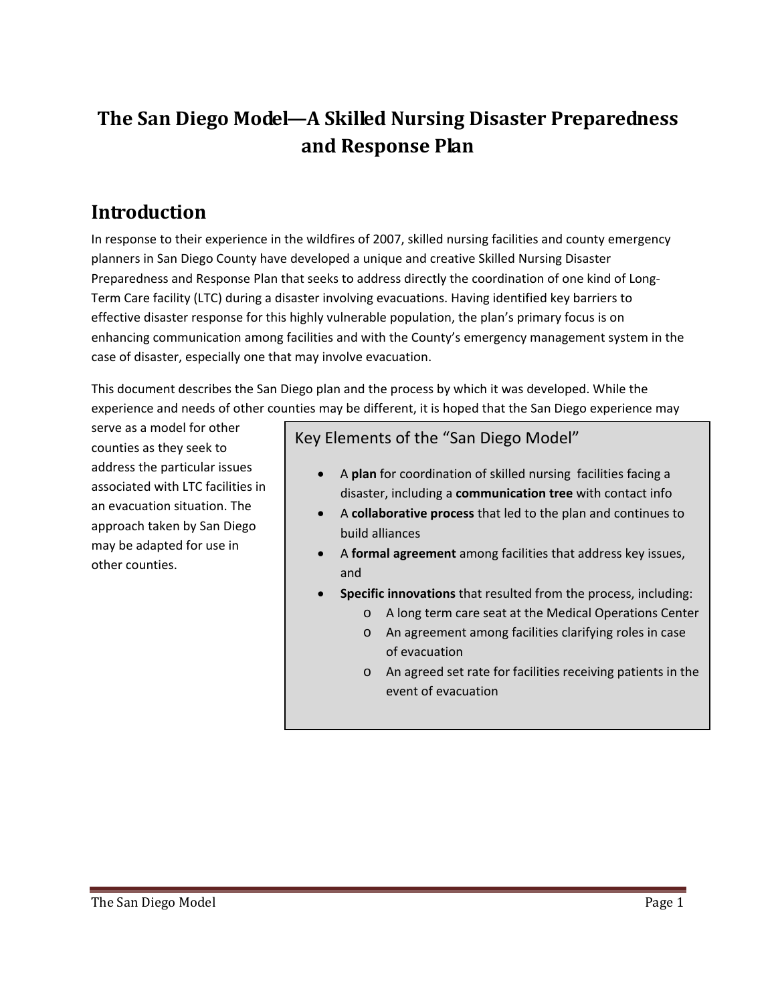## **The San Diego Model—A Skilled Nursing Disaster Preparedness and Response Plan**

### **Introduction**

In response to their experience in the wildfires of 2007, skilled nursing facilities and county emergency planners in San Diego County have developed a unique and creative Skilled Nursing Disaster Preparedness and Response Plan that seeks to address directly the coordination of one kind of Long‐ Term Care facility (LTC) during a disaster involving evacuations. Having identified key barriers to effective disaster response for this highly vulnerable population, the plan's primary focus is on enhancing communication among facilities and with the County's emergency management system in the case of disaster, especially one that may involve evacuation.

This document describes the San Diego plan and the process by which it was developed. While the experience and needs of other counties may be different, it is hoped that the San Diego experience may

serve as a model for other counties as they seek to address the particular issues associated with LTC facilities in an evacuation situation. The approach taken by San Diego may be adapted for use in other counties.

Key Elements of the "San Diego Model"

- A **plan** for coordination of skilled nursing facilities facing a disaster, including a **communication tree** with contact info
- A **collaborative process** that led to the plan and continues to build alliances
- A **formal agreement** among facilities that address key issues, and
- **Specific innovations** that resulted from the process, including:
	- o A long term care seat at the Medical Operations Center
	- o An agreement among facilities clarifying roles in case of evacuation
	- o An agreed set rate for facilities receiving patients in the event of evacuation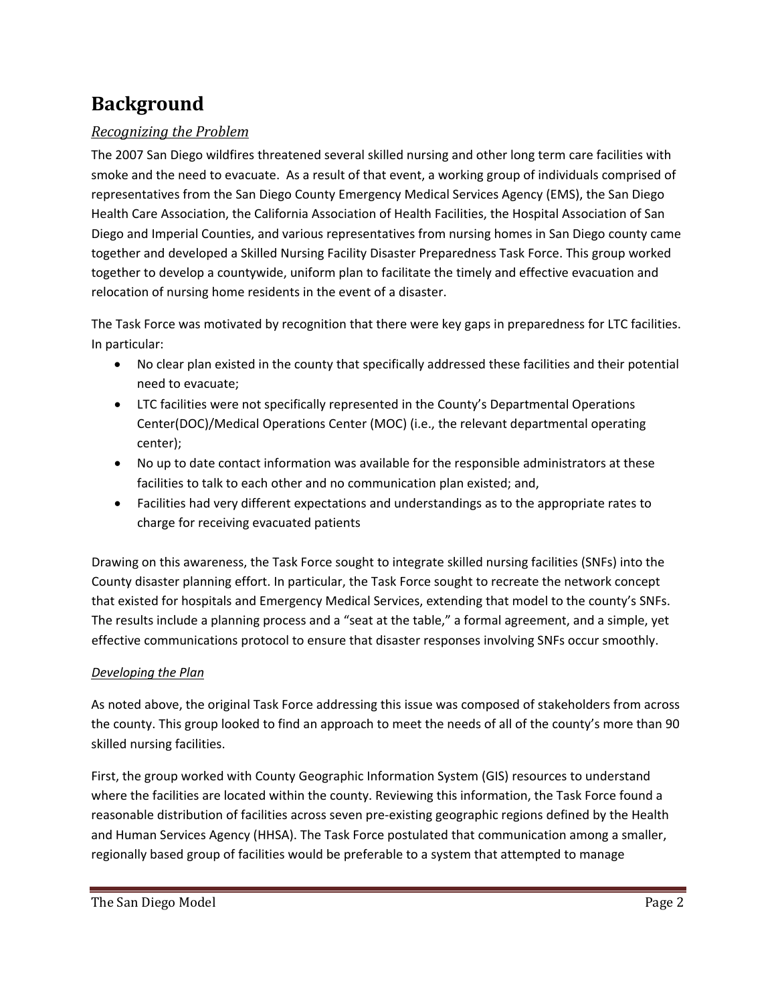### **Background**

### *Recognizing the Problem*

The 2007 San Diego wildfires threatened several skilled nursing and other long term care facilities with smoke and the need to evacuate. As a result of that event, a working group of individuals comprised of representatives from the San Diego County Emergency Medical Services Agency (EMS), the San Diego Health Care Association, the California Association of Health Facilities, the Hospital Association of San Diego and Imperial Counties, and various representatives from nursing homes in San Diego county came together and developed a Skilled Nursing Facility Disaster Preparedness Task Force. This group worked together to develop a countywide, uniform plan to facilitate the timely and effective evacuation and relocation of nursing home residents in the event of a disaster.

The Task Force was motivated by recognition that there were key gaps in preparedness for LTC facilities. In particular:

- No clear plan existed in the county that specifically addressed these facilities and their potential need to evacuate;
- LTC facilities were not specifically represented in the County's Departmental Operations Center(DOC)/Medical Operations Center (MOC) (i.e., the relevant departmental operating center);
- No up to date contact information was available for the responsible administrators at these facilities to talk to each other and no communication plan existed; and,
- Facilities had very different expectations and understandings as to the appropriate rates to charge for receiving evacuated patients

Drawing on this awareness, the Task Force sought to integrate skilled nursing facilities (SNFs) into the County disaster planning effort. In particular, the Task Force sought to recreate the network concept that existed for hospitals and Emergency Medical Services, extending that model to the county's SNFs. The results include a planning process and a "seat at the table," a formal agreement, and a simple, yet effective communications protocol to ensure that disaster responses involving SNFs occur smoothly.

#### *Developing the Plan*

As noted above, the original Task Force addressing this issue was composed of stakeholders from across the county. This group looked to find an approach to meet the needs of all of the county's more than 90 skilled nursing facilities.

First, the group worked with County Geographic Information System (GIS) resources to understand where the facilities are located within the county. Reviewing this information, the Task Force found a reasonable distribution of facilities across seven pre‐existing geographic regions defined by the Health and Human Services Agency (HHSA). The Task Force postulated that communication among a smaller, regionally based group of facilities would be preferable to a system that attempted to manage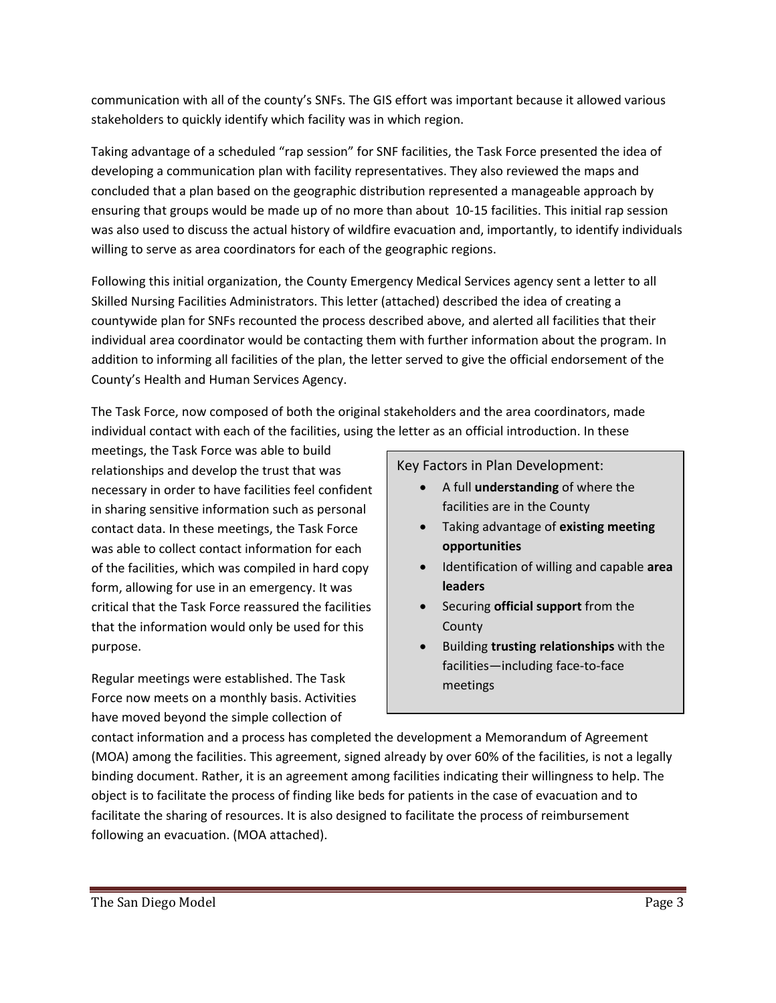communication with all of the county's SNFs. The GIS effort was important because it allowed various stakeholders to quickly identify which facility was in which region.

Taking advantage of a scheduled "rap session" for SNF facilities, the Task Force presented the idea of developing a communication plan with facility representatives. They also reviewed the maps and concluded that a plan based on the geographic distribution represented a manageable approach by ensuring that groups would be made up of no more than about 10‐15 facilities. This initial rap session was also used to discuss the actual history of wildfire evacuation and, importantly, to identify individuals willing to serve as area coordinators for each of the geographic regions.

Following this initial organization, the County Emergency Medical Services agency sent a letter to all Skilled Nursing Facilities Administrators. This letter (attached) described the idea of creating a countywide plan for SNFs recounted the process described above, and alerted all facilities that their individual area coordinator would be contacting them with further information about the program. In addition to informing all facilities of the plan, the letter served to give the official endorsement of the County's Health and Human Services Agency.

The Task Force, now composed of both the original stakeholders and the area coordinators, made individual contact with each of the facilities, using the letter as an official introduction. In these

meetings, the Task Force was able to build relationships and develop the trust that was necessary in order to have facilities feel confident in sharing sensitive information such as personal contact data. In these meetings, the Task Force was able to collect contact information for each of the facilities, which was compiled in hard copy form, allowing for use in an emergency. It was critical that the Task Force reassured the facilities that the information would only be used for this purpose.

Regular meetings were established. The Task Force now meets on a monthly basis. Activities have moved beyond the simple collection of

Key Factors in Plan Development:

- A full **understanding** of where the facilities are in the County
- Taking advantage of **existing meeting opportunities**
- Identification of willing and capable **area leaders**
- Securing **official support** from the County
- Building **trusting relationships** with the facilities—including face‐to‐face meetings

contact information and a process has completed the development a Memorandum of Agreement (MOA) among the facilities. This agreement, signed already by over 60% of the facilities, is not a legally binding document. Rather, it is an agreement among facilities indicating their willingness to help. The object is to facilitate the process of finding like beds for patients in the case of evacuation and to facilitate the sharing of resources. It is also designed to facilitate the process of reimbursement following an evacuation. (MOA attached).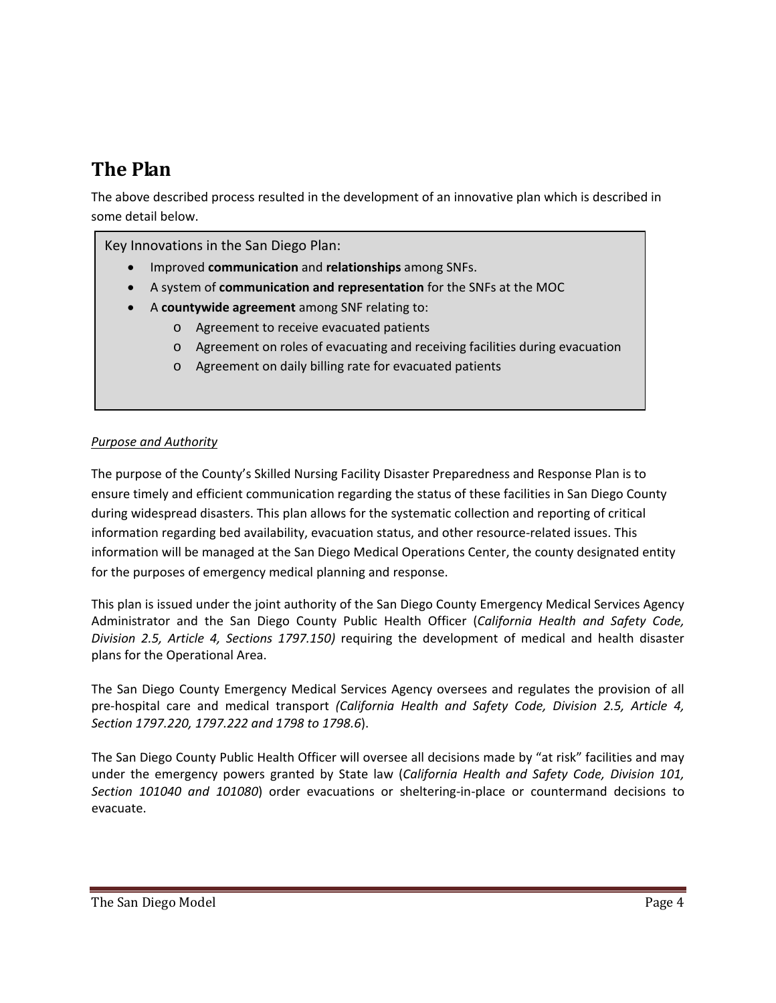### **The Plan**

The above described process resulted in the development of an innovative plan which is described in some detail below.

Key Innovations in the San Diego Plan:

- Improved **communication** and **relationships** among SNFs.
- A system of **communication and representation** for the SNFs at the MOC
- A **countywide agreement** among SNF relating to:
	- o Agreement to receive evacuated patients
	- o Agreement on roles of evacuating and receiving facilities during evacuation
	- o Agreement on daily billing rate for evacuated patients

#### *Purpose and Authority*

The purpose of the County's Skilled Nursing Facility Disaster Preparedness and Response Plan is to ensure timely and efficient communication regarding the status of these facilities in San Diego County during widespread disasters. This plan allows for the systematic collection and reporting of critical information regarding bed availability, evacuation status, and other resource-related issues. This information will be managed at the San Diego Medical Operations Center, the county designated entity for the purposes of emergency medical planning and response.

This plan is issued under the joint authority of the San Diego County Emergency Medical Services Agency Administrator and the San Diego County Public Health Officer (*California Health and Safety Code, Division 2.5, Article 4, Sections 1797.150)* requiring the development of medical and health disaster plans for the Operational Area.

The San Diego County Emergency Medical Services Agency oversees and regulates the provision of all pre‐hospital care and medical transport *(California Health and Safety Code, Division 2.5, Article 4, Section 1797.220, 1797.222 and 1798 to 1798.6*).

The San Diego County Public Health Officer will oversee all decisions made by "at risk" facilities and may under the emergency powers granted by State law (*California Health and Safety Code, Division 101, Section 101040 and 101080*) order evacuations or sheltering‐in‐place or countermand decisions to evacuate.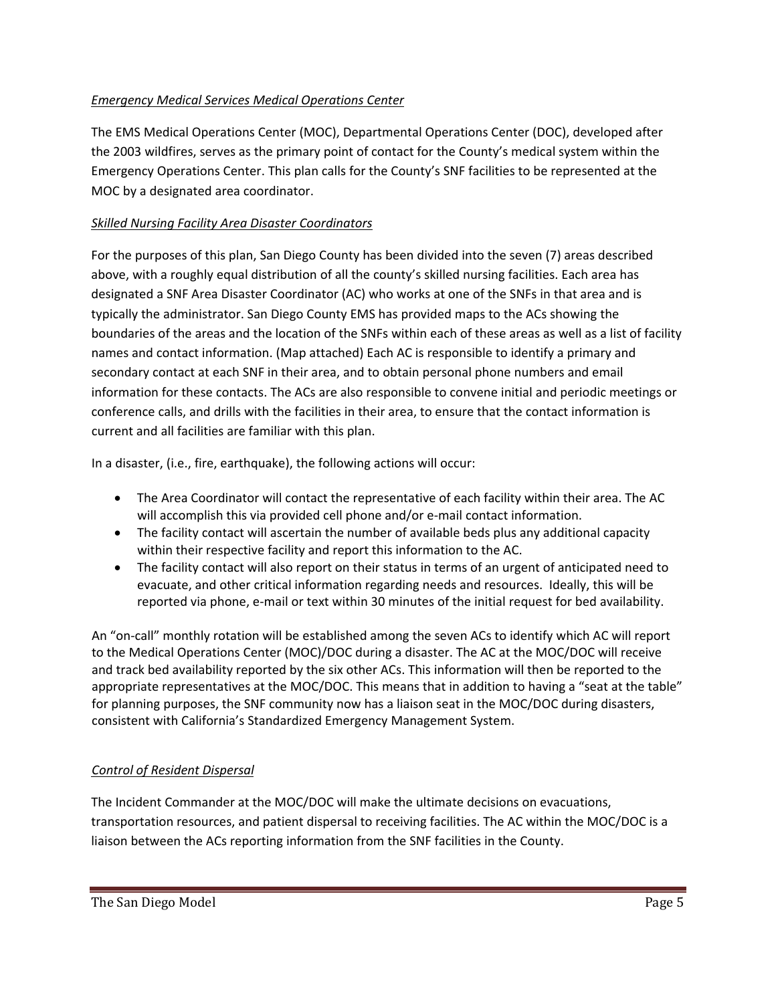#### *Emergency Medical Services Medical Operations Center*

The EMS Medical Operations Center (MOC), Departmental Operations Center (DOC), developed after the 2003 wildfires, serves as the primary point of contact for the County's medical system within the Emergency Operations Center. This plan calls for the County's SNF facilities to be represented at the MOC by a designated area coordinator.

#### *Skilled Nursing Facility Area Disaster Coordinators*

For the purposes of this plan, San Diego County has been divided into the seven (7) areas described above, with a roughly equal distribution of all the county's skilled nursing facilities. Each area has designated a SNF Area Disaster Coordinator (AC) who works at one of the SNFs in that area and is typically the administrator. San Diego County EMS has provided maps to the ACs showing the boundaries of the areas and the location of the SNFs within each of these areas as well as a list of facility names and contact information. (Map attached) Each AC is responsible to identify a primary and secondary contact at each SNF in their area, and to obtain personal phone numbers and email information for these contacts. The ACs are also responsible to convene initial and periodic meetings or conference calls, and drills with the facilities in their area, to ensure that the contact information is current and all facilities are familiar with this plan.

In a disaster, (i.e., fire, earthquake), the following actions will occur:

- The Area Coordinator will contact the representative of each facility within their area. The AC will accomplish this via provided cell phone and/or e-mail contact information.
- The facility contact will ascertain the number of available beds plus any additional capacity within their respective facility and report this information to the AC.
- The facility contact will also report on their status in terms of an urgent of anticipated need to evacuate, and other critical information regarding needs and resources. Ideally, this will be reported via phone, e-mail or text within 30 minutes of the initial request for bed availability.

An "on-call" monthly rotation will be established among the seven ACs to identify which AC will report to the Medical Operations Center (MOC)/DOC during a disaster. The AC at the MOC/DOC will receive and track bed availability reported by the six other ACs. This information will then be reported to the appropriate representatives at the MOC/DOC. This means that in addition to having a "seat at the table" for planning purposes, the SNF community now has a liaison seat in the MOC/DOC during disasters, consistent with California's Standardized Emergency Management System.

#### *Control of Resident Dispersal*

The Incident Commander at the MOC/DOC will make the ultimate decisions on evacuations, transportation resources, and patient dispersal to receiving facilities. The AC within the MOC/DOC is a liaison between the ACs reporting information from the SNF facilities in the County.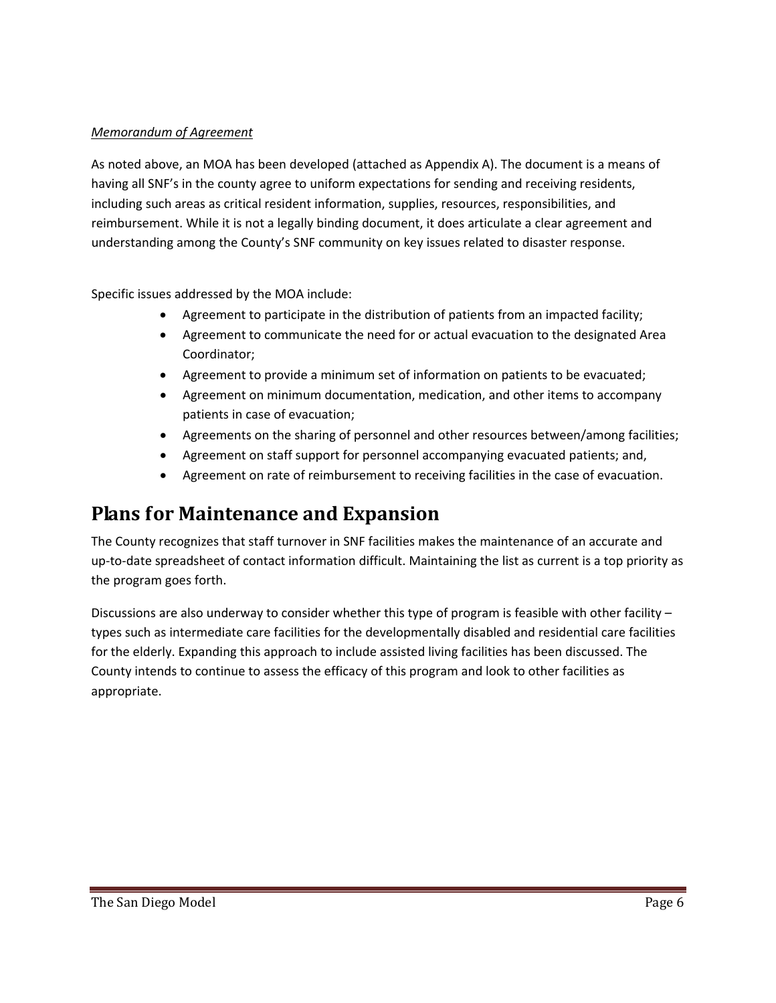#### *Memorandum of Agreement*

As noted above, an MOA has been developed (attached as Appendix A). The document is a means of having all SNF's in the county agree to uniform expectations for sending and receiving residents, including such areas as critical resident information, supplies, resources, responsibilities, and reimbursement. While it is not a legally binding document, it does articulate a clear agreement and understanding among the County's SNF community on key issues related to disaster response.

Specific issues addressed by the MOA include:

- Agreement to participate in the distribution of patients from an impacted facility;
- Agreement to communicate the need for or actual evacuation to the designated Area Coordinator;
- Agreement to provide a minimum set of information on patients to be evacuated;
- Agreement on minimum documentation, medication, and other items to accompany patients in case of evacuation;
- Agreements on the sharing of personnel and other resources between/among facilities;
- Agreement on staff support for personnel accompanying evacuated patients; and,
- Agreement on rate of reimbursement to receiving facilities in the case of evacuation.

### **Plans for Maintenance and Expansion**

The County recognizes that staff turnover in SNF facilities makes the maintenance of an accurate and up‐to‐date spreadsheet of contact information difficult. Maintaining the list as current is a top priority as the program goes forth.

Discussions are also underway to consider whether this type of program is feasible with other facility – types such as intermediate care facilities for the developmentally disabled and residential care facilities for the elderly. Expanding this approach to include assisted living facilities has been discussed. The County intends to continue to assess the efficacy of this program and look to other facilities as appropriate.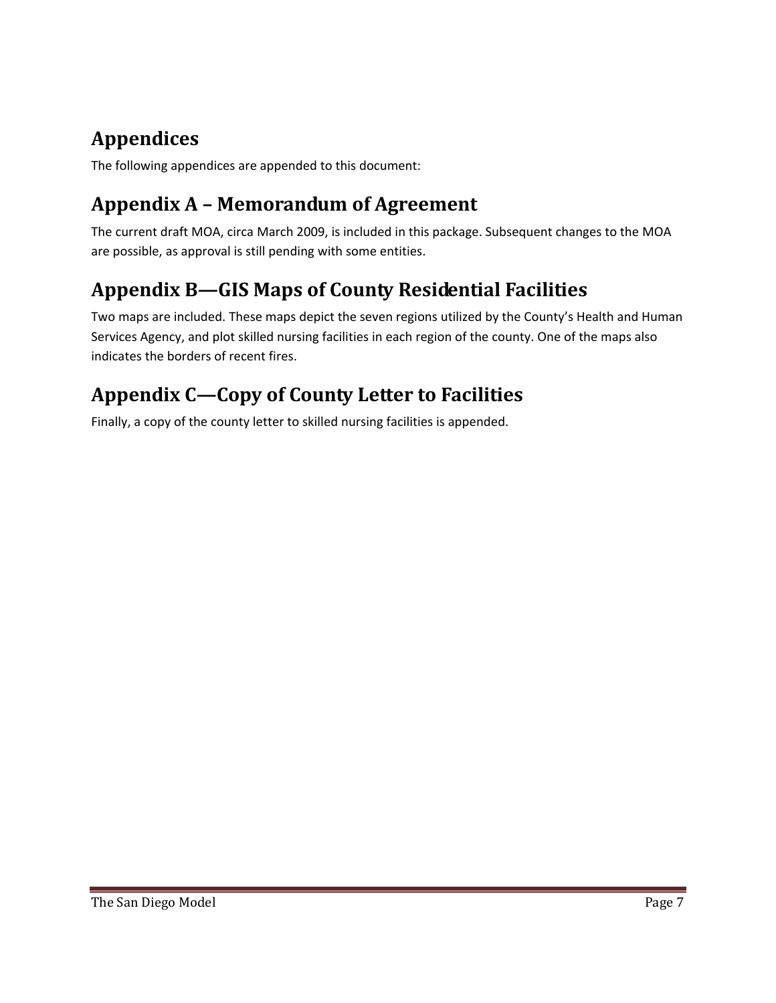# **Appendices**

The following appendices are appended to this document:

## **Appendix A – Memorandum of Agreement**

The current draft MOA, circa March 2009, is included in this package. Subsequent changes to the MOA are possible, as approval is still pending with some entities.

## **Appendix B—GIS Maps of County Residential Facilities**

Two maps are included. These maps depict the seven regions utilized by the County's Health and Human Services Agency, and plot skilled nursing facilities in each region of the county. One of the maps also indicates the borders of recent fires.

## **Appendix C—Copy of County Letter to Facilities**

Finally, a copy of the county letter to skilled nursing facilities is appended.